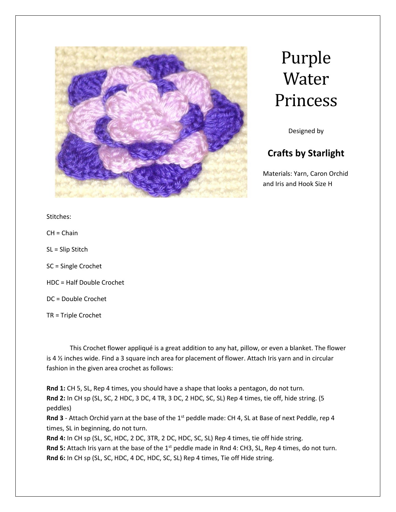

## Purple Water Princess

Designed by

## **Crafts by Starlight**

Materials: Yarn, Caron Orchid and Iris and Hook Size H

Stitches:

CH = Chain

SL = Slip Stitch

SC = Single Crochet

HDC = Half Double Crochet

DC = Double Crochet

TR = Triple Crochet

This Crochet flower appliqué is a great addition to any hat, pillow, or even a blanket. The flower is 4 ½ inches wide. Find a 3 square inch area for placement of flower. Attach Iris yarn and in circular fashion in the given area crochet as follows:

**Rnd 1:** CH 5, SL, Rep 4 times, you should have a shape that looks a pentagon, do not turn. **Rnd 2:** In CH sp (SL, SC, 2 HDC, 3 DC, 4 TR, 3 DC, 2 HDC, SC, SL) Rep 4 times, tie off, hide string. (5 peddles)

**Rnd 3** - Attach Orchid yarn at the base of the 1<sup>st</sup> peddle made: CH 4, SL at Base of next Peddle, rep 4 times, SL in beginning, do not turn.

**Rnd 4:** In CH sp (SL, SC, HDC, 2 DC, 3TR, 2 DC, HDC, SC, SL) Rep 4 times, tie off hide string. Rnd 5: Attach Iris yarn at the base of the 1<sup>st</sup> peddle made in Rnd 4: CH3, SL, Rep 4 times, do not turn. **Rnd 6:** In CH sp (SL, SC, HDC, 4 DC, HDC, SC, SL) Rep 4 times, Tie off Hide string.